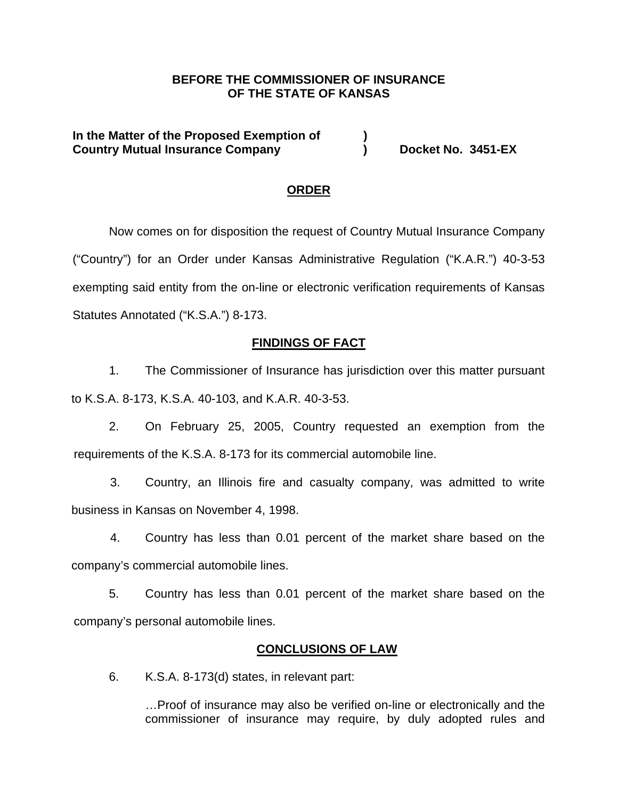# **BEFORE THE COMMISSIONER OF INSURANCE OF THE STATE OF KANSAS**

**In the Matter of the Proposed Exemption of ) Country Mutual Insurance Company (a) Booket No. 3451-EX** 

## **ORDER**

Now comes on for disposition the request of Country Mutual Insurance Company ("Country") for an Order under Kansas Administrative Regulation ("K.A.R.") 40-3-53 exempting said entity from the on-line or electronic verification requirements of Kansas Statutes Annotated ("K.S.A.") 8-173.

### **FINDINGS OF FACT**

1. The Commissioner of Insurance has jurisdiction over this matter pursuant to K.S.A. 8-173, K.S.A. 40-103, and K.A.R. 40-3-53.

2. On February 25, 2005, Country requested an exemption from the requirements of the K.S.A. 8-173 for its commercial automobile line.

3. Country, an Illinois fire and casualty company, was admitted to write business in Kansas on November 4, 1998.

4. Country has less than 0.01 percent of the market share based on the company's commercial automobile lines.

5. Country has less than 0.01 percent of the market share based on the company's personal automobile lines.

#### **CONCLUSIONS OF LAW**

6. K.S.A. 8-173(d) states, in relevant part:

…Proof of insurance may also be verified on-line or electronically and the commissioner of insurance may require, by duly adopted rules and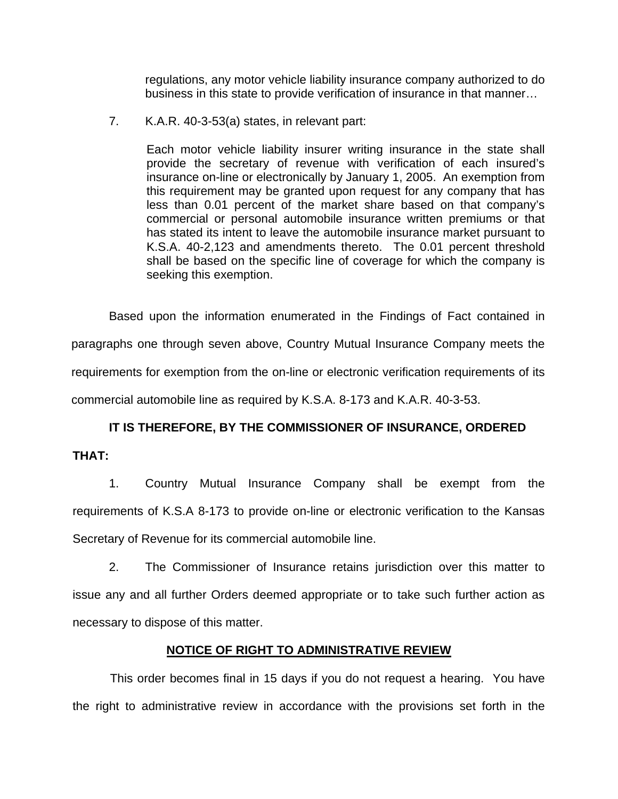regulations, any motor vehicle liability insurance company authorized to do business in this state to provide verification of insurance in that manner…

7. K.A.R. 40-3-53(a) states, in relevant part:

Each motor vehicle liability insurer writing insurance in the state shall provide the secretary of revenue with verification of each insured's insurance on-line or electronically by January 1, 2005. An exemption from this requirement may be granted upon request for any company that has less than 0.01 percent of the market share based on that company's commercial or personal automobile insurance written premiums or that has stated its intent to leave the automobile insurance market pursuant to K.S.A. 40-2,123 and amendments thereto. The 0.01 percent threshold shall be based on the specific line of coverage for which the company is seeking this exemption.

Based upon the information enumerated in the Findings of Fact contained in paragraphs one through seven above, Country Mutual Insurance Company meets the requirements for exemption from the on-line or electronic verification requirements of its commercial automobile line as required by K.S.A. 8-173 and K.A.R. 40-3-53.

# **IT IS THEREFORE, BY THE COMMISSIONER OF INSURANCE, ORDERED**

**THAT:** 

1. Country Mutual Insurance Company shall be exempt from the requirements of K.S.A 8-173 to provide on-line or electronic verification to the Kansas Secretary of Revenue for its commercial automobile line.

2. The Commissioner of Insurance retains jurisdiction over this matter to issue any and all further Orders deemed appropriate or to take such further action as necessary to dispose of this matter.

# **NOTICE OF RIGHT TO ADMINISTRATIVE REVIEW**

This order becomes final in 15 days if you do not request a hearing. You have the right to administrative review in accordance with the provisions set forth in the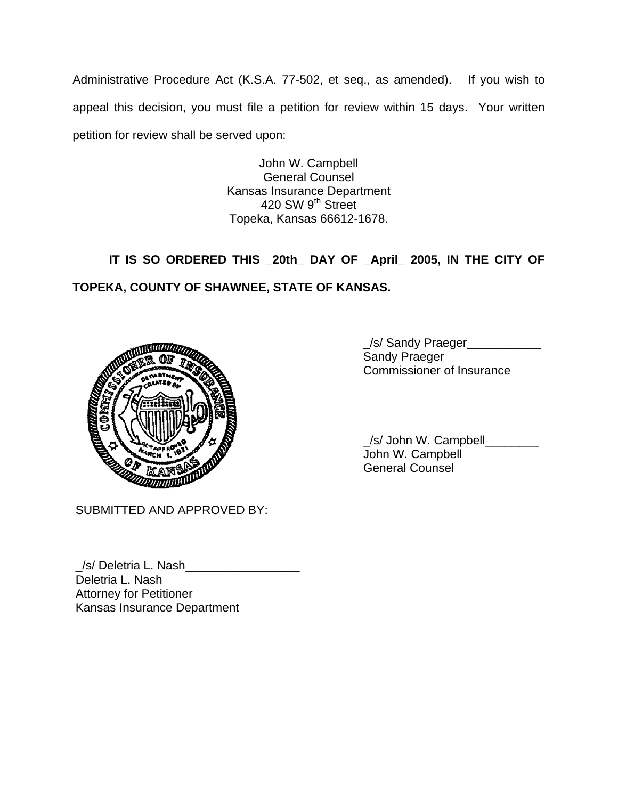Administrative Procedure Act (K.S.A. 77-502, et seq., as amended). If you wish to appeal this decision, you must file a petition for review within 15 days. Your written petition for review shall be served upon:

> John W. Campbell General Counsel Kansas Insurance Department 420 SW 9<sup>th</sup> Street Topeka, Kansas 66612-1678.

# **IT IS SO ORDERED THIS \_20th\_ DAY OF \_April\_ 2005, IN THE CITY OF TOPEKA, COUNTY OF SHAWNEE, STATE OF KANSAS.**



SUBMITTED AND APPROVED BY:

Kansas Insurance Department

\_/s/ Deletria L. Nash\_\_\_\_\_\_\_\_\_\_\_\_\_\_\_\_\_ Deletria L. Nash Attorney for Petitioner

\_/s/ Sandy Praeger\_\_\_\_\_\_\_\_\_\_\_ Sandy Praeger Commissioner of Insurance

 \_/s/ John W. Campbell\_\_\_\_\_\_\_\_ John W. Campbell General Counsel